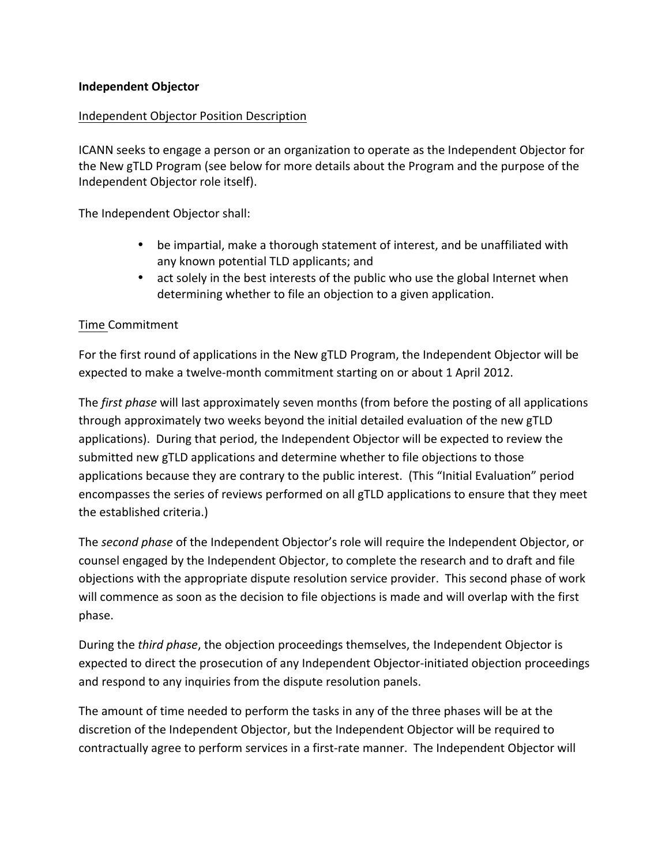#### **Independent Objector**

#### Independent Objector Position Description

ICANN seeks to engage a person or an organization to operate as the Independent Objector for the New gTLD Program (see below for more details about the Program and the purpose of the Independent Objector role itself).

The Independent Objector shall:

- be impartial, make a thorough statement of interest, and be unaffiliated with any known potential TLD applicants; and
- act solely in the best interests of the public who use the global Internet when determining whether to file an objection to a given application.

#### Time Commitment

For the first round of applications in the New gTLD Program, the Independent Objector will be expected to make a twelve-month commitment starting on or about 1 April 2012.

The *first phase* will last approximately seven months (from before the posting of all applications through approximately two weeks beyond the initial detailed evaluation of the new gTLD applications). During that period, the Independent Objector will be expected to review the submitted new gTLD applications and determine whether to file objections to those applications because they are contrary to the public interest. (This "Initial Evaluation" period encompasses the series of reviews performed on all gTLD applications to ensure that they meet the established criteria.)

The *second phase* of the Independent Objector's role will require the Independent Objector, or counsel engaged by the Independent Objector, to complete the research and to draft and file objections with the appropriate dispute resolution service provider. This second phase of work will commence as soon as the decision to file objections is made and will overlap with the first phase.

During the *third phase*, the objection proceedings themselves, the Independent Objector is expected to direct the prosecution of any Independent Objector-initiated objection proceedings and respond to any inquiries from the dispute resolution panels.

The amount of time needed to perform the tasks in any of the three phases will be at the discretion of the Independent Objector, but the Independent Objector will be required to contractually agree to perform services in a first-rate manner. The Independent Objector will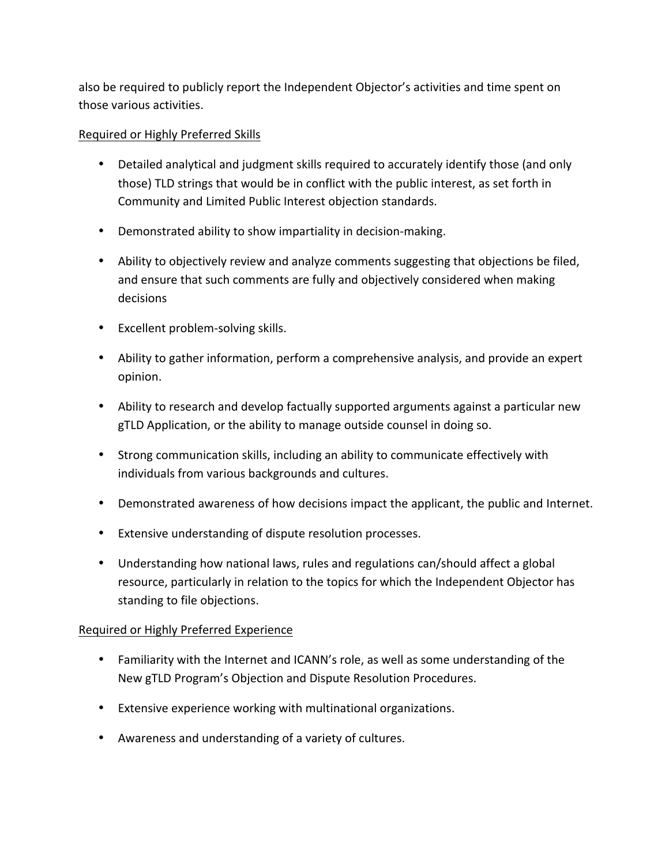also be required to publicly report the Independent Objector's activities and time spent on those various activities.

# Required or Highly Preferred Skills

- Detailed analytical and judgment skills required to accurately identify those (and only those) TLD strings that would be in conflict with the public interest, as set forth in Community and Limited Public Interest objection standards.
- Demonstrated ability to show impartiality in decision-making.
- Ability to objectively review and analyze comments suggesting that objections be filed, and ensure that such comments are fully and objectively considered when making decisions
- Excellent problem-solving skills.
- Ability to gather information, perform a comprehensive analysis, and provide an expert opinion.
- Ability to research and develop factually supported arguments against a particular new gTLD Application, or the ability to manage outside counsel in doing so.
- Strong communication skills, including an ability to communicate effectively with individuals from various backgrounds and cultures.
- Demonstrated awareness of how decisions impact the applicant, the public and Internet.
- Extensive understanding of dispute resolution processes.
- Understanding how national laws, rules and regulations can/should affect a global resource, particularly in relation to the topics for which the Independent Objector has standing to file objections.

# Required or Highly Preferred Experience

- Familiarity with the Internet and ICANN's role, as well as some understanding of the New gTLD Program's Objection and Dispute Resolution Procedures.
- Extensive experience working with multinational organizations.
- Awareness and understanding of a variety of cultures.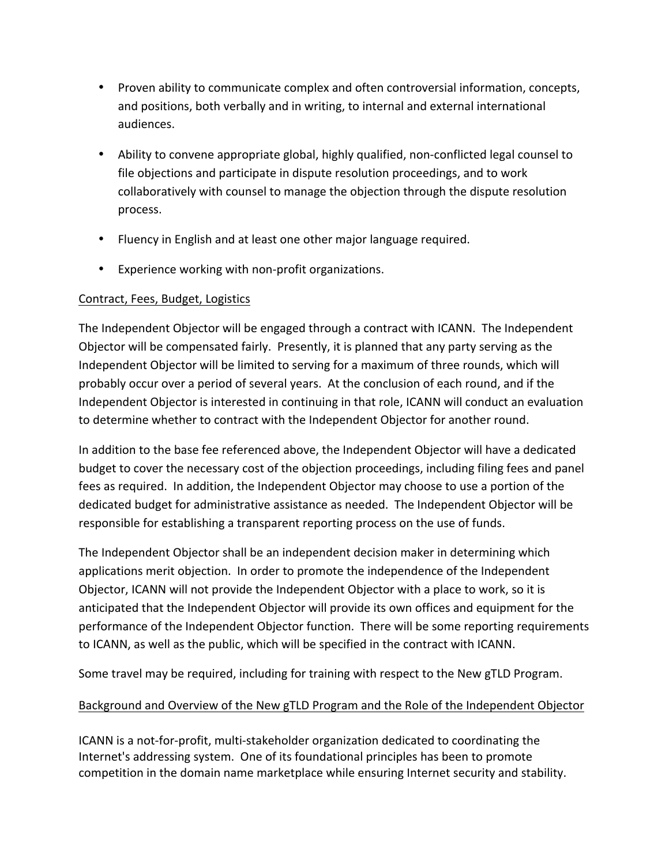- Proven ability to communicate complex and often controversial information, concepts, and positions, both verbally and in writing, to internal and external international audiences.
- Ability to convene appropriate global, highly qualified, non-conflicted legal counsel to file objections and participate in dispute resolution proceedings, and to work collaboratively with counsel to manage the objection through the dispute resolution process.
- Fluency in English and at least one other major language required.
- Experience working with non-profit organizations.

# Contract, Fees, Budget, Logistics

The Independent Objector will be engaged through a contract with ICANN. The Independent Objector will be compensated fairly. Presently, it is planned that any party serving as the Independent Objector will be limited to serving for a maximum of three rounds, which will probably occur over a period of several years. At the conclusion of each round, and if the Independent Objector is interested in continuing in that role, ICANN will conduct an evaluation to determine whether to contract with the Independent Objector for another round.

In addition to the base fee referenced above, the Independent Objector will have a dedicated budget to cover the necessary cost of the objection proceedings, including filing fees and panel fees as required. In addition, the Independent Objector may choose to use a portion of the dedicated budget for administrative assistance as needed. The Independent Objector will be responsible for establishing a transparent reporting process on the use of funds.

The Independent Objector shall be an independent decision maker in determining which applications merit objection. In order to promote the independence of the Independent Objector, ICANN will not provide the Independent Objector with a place to work, so it is anticipated that the Independent Objector will provide its own offices and equipment for the performance of the Independent Objector function. There will be some reporting requirements to ICANN, as well as the public, which will be specified in the contract with ICANN.

Some travel may be required, including for training with respect to the New gTLD Program.

# Background and Overview of the New gTLD Program and the Role of the Independent Objector

ICANN is a not-for-profit, multi-stakeholder organization dedicated to coordinating the Internet's addressing system. One of its foundational principles has been to promote competition in the domain name marketplace while ensuring Internet security and stability.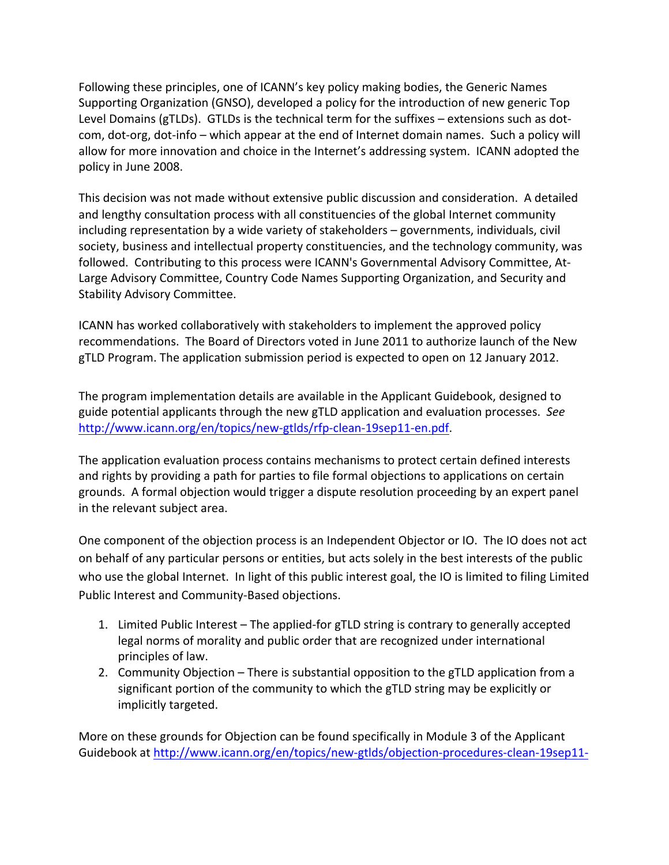Following these principles, one of ICANN's key policy making bodies, the Generic Names Supporting Organization (GNSO), developed a policy for the introduction of new generic Top Level Domains (gTLDs). GTLDs is the technical term for the suffixes – extensions such as dotcom, dot-org, dot-info – which appear at the end of Internet domain names. Such a policy will allow for more innovation and choice in the Internet's addressing system. ICANN adopted the policy in June 2008.

This decision was not made without extensive public discussion and consideration. A detailed and lengthy consultation process with all constituencies of the global Internet community including representation by a wide variety of stakeholders – governments, individuals, civil society, business and intellectual property constituencies, and the technology community, was followed. Contributing to this process were ICANN's Governmental Advisory Committee, At-Large Advisory Committee, Country Code Names Supporting Organization, and Security and Stability Advisory Committee.

ICANN has worked collaboratively with stakeholders to implement the approved policy recommendations. The Board of Directors voted in June 2011 to authorize launch of the New gTLD Program. The application submission period is expected to open on 12 January 2012.

The program implementation details are available in the Applicant Guidebook, designed to guide potential applicants through the new gTLD application and evaluation processes. See http://www.icann.org/en/topics/new-gtlds/rfp-clean-19sep11-en.pdf.

The application evaluation process contains mechanisms to protect certain defined interests and rights by providing a path for parties to file formal objections to applications on certain grounds. A formal objection would trigger a dispute resolution proceeding by an expert panel in the relevant subject area.

One component of the objection process is an Independent Objector or IO. The IO does not act on behalf of any particular persons or entities, but acts solely in the best interests of the public who use the global Internet. In light of this public interest goal, the IO is limited to filing Limited Public Interest and Community-Based objections.

- 1. Limited Public Interest The applied-for gTLD string is contrary to generally accepted legal norms of morality and public order that are recognized under international principles of law.
- 2. Community Objection  $-$  There is substantial opposition to the gTLD application from a significant portion of the community to which the gTLD string may be explicitly or implicitly targeted.

More on these grounds for Objection can be found specifically in Module 3 of the Applicant Guidebook at http://www.icann.org/en/topics/new-gtlds/objection-procedures-clean-19sep11